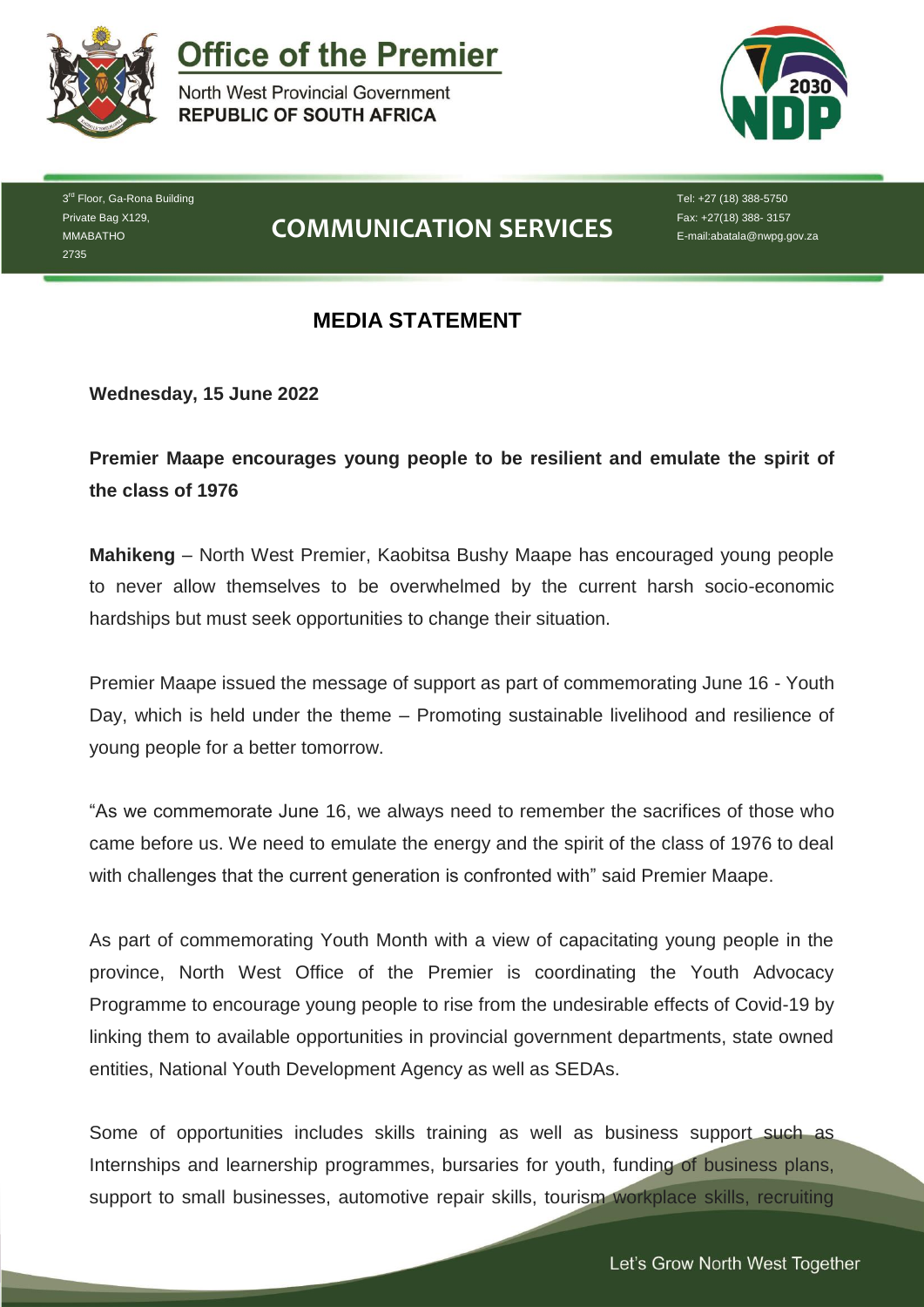

**Office of the Premier** 

North West Provincial Government **REPUBLIC OF SOUTH AFRICA** 



3<sup>rd</sup> Floor, Ga-Rona Building Private Bag X129, MMABATHO 2735

## **COMMUNICATION SERVICES**

Tel: +27 (18) 388-5750 Fax: +27(18) 388- 3157 E-mail:abatala@nwpg.gov.za

## **MEDIA STATEMENT**

**Wednesday, 15 June 2022**

**Premier Maape encourages young people to be resilient and emulate the spirit of the class of 1976**

**Mahikeng** – North West Premier, Kaobitsa Bushy Maape has encouraged young people to never allow themselves to be overwhelmed by the current harsh socio-economic hardships but must seek opportunities to change their situation.

Premier Maape issued the message of support as part of commemorating June 16 - Youth Day, which is held under the theme – Promoting sustainable livelihood and resilience of young people for a better tomorrow.

"As we commemorate June 16, we always need to remember the sacrifices of those who came before us. We need to emulate the energy and the spirit of the class of 1976 to deal with challenges that the current generation is confronted with" said Premier Maape.

As part of commemorating Youth Month with a view of capacitating young people in the province, North West Office of the Premier is coordinating the Youth Advocacy Programme to encourage young people to rise from the undesirable effects of Covid-19 by linking them to available opportunities in provincial government departments, state owned entities, National Youth Development Agency as well as SEDAs.

Some of opportunities includes skills training as well as business support such as Internships and learnership programmes, bursaries for youth, funding of business plans, support to small businesses, automotive repair skills, tourism workplace skills, recruiting

*Let's Grow North West Together*